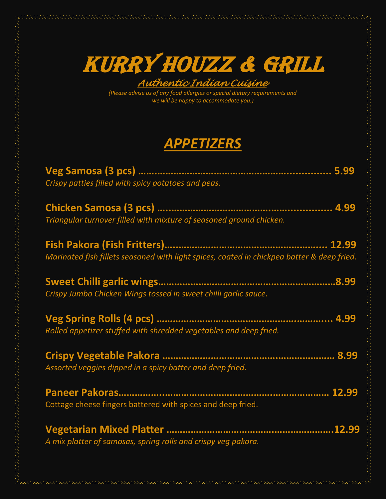

 *Authentic Indian Cuisine* 

*(Please advise us of any food allergies or special dietary requirements and we will be happy to accommodate you.)*

## *APPETIZERS*

| Crispy patties filled with spicy potatoes and peas.                                        |
|--------------------------------------------------------------------------------------------|
| Triangular turnover filled with mixture of seasoned ground chicken.                        |
| Marinated fish fillets seasoned with light spices, coated in chickpea batter & deep fried. |
| Crispy Jumbo Chicken Wings tossed in sweet chilli garlic sauce.                            |
| Rolled appetizer stuffed with shredded vegetables and deep fried.                          |
| Assorted veggies dipped in a spicy batter and deep fried.                                  |
| Cottage cheese fingers battered with spices and deep fried.                                |
| A mix platter of samosas, spring rolls and crispy veg pakora.                              |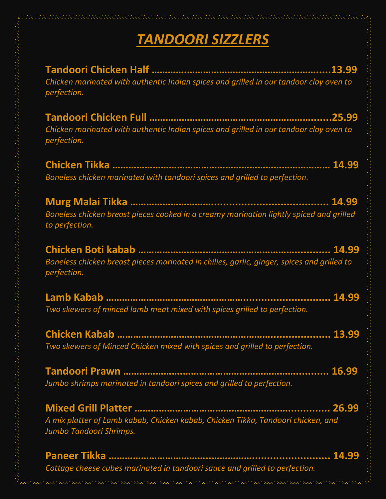## *TANDOORI SIZZLERS*

**Tandoori Chicken Half ………….………………………………………….....13.99** *Chicken marinated with authentic Indian spices and grilled in our tandoor clay oven to perfection.*

**Tandoori Chicken Full …………………………………………………….......25.99** *Chicken marinated with authentic Indian spices and grilled in our tandoor clay oven to perfection.*

**Chicken Tikka ……………………………………………………………………… 14.99** *Boneless chicken marinated with tandoori spices and grilled to perfection.*

**Murg Malai Tikka …………………………....................................... 14.99** *Boneless chicken breast pieces cooked in a creamy marination lightly spiced and grilled to perfection.*

**Chicken Boti kabab …………………….……………………………............ 14.99** *Boneless chicken breast pieces marinated in chilies, garlic, ginger, spices and grilled to perfection.*

**Lamb Kabab ……………………………………………............................. 14.99**  *Two skewers of minced lamb meat mixed with spices grilled to perfection.*

**Chicken Kabab ………………………………………………….................... 13.99** *Two skewers of Minced Chicken mixed with spices and grilled to perfection.*

**Tandoori Prawn ………………….……………………………………........... 16.99** *Jumbo shrimps marinated in tandoori spices and grilled to perfection.*

**Mixed Grill Platter ………………………………………………….............. 26.99**  *A mix platter of Lamb kabab, Chicken kabab, Chicken Tikka, Tandoori chicken, and Jumbo Tandoori Shrimps.*

**Paneer Tikka ………………………………..…………….......................... 14.99** *Cottage cheese cubes marinated in tandoori sauce and grilled to perfection.*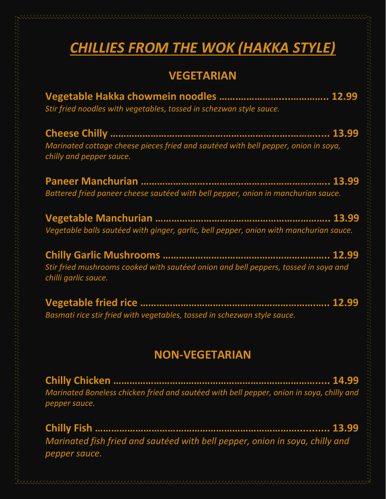# *CHILLIES FROM THE WOK (HAKKA STYLE)*

#### **VEGETARIAN**

| Stir fried noodles with vegetables, tossed in schezwan style sauce.                                            |  |
|----------------------------------------------------------------------------------------------------------------|--|
| Marinated cottage cheese pieces fried and sautéed with bell pepper, onion in soya,<br>chilly and pepper sauce. |  |
| Battered fried paneer cheese sautéed with bell pepper, onion in manchurian sauce.                              |  |
| Vegetable balls sautéed with ginger, garlic, bell pepper, onion with manchurian sauce.                         |  |
| Stir fried mushrooms cooked with sautéed onion and bell peppers, tossed in soya and<br>chilli garlic sauce.    |  |
| Basmati rice stir fried with vegetables, tossed in schezwan style sauce.                                       |  |
| <b>NON-VEGETARIAN</b>                                                                                          |  |
|                                                                                                                |  |

*Marinated Boneless chicken fried and sautéed with bell pepper, onion in soya, chilly and pepper sauce.* 

**Chilly Fish …………………………………………………………………........... 13.99** *Marinated fish fried and sautéed with bell pepper, onion in soya, chilly and pepper sauce.*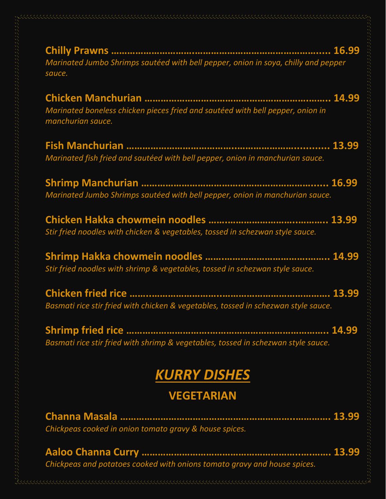| Marinated Jumbo Shrimps sautéed with bell pepper, onion in soya, chilly and pepper<br>sauce.        |
|-----------------------------------------------------------------------------------------------------|
| Marinated boneless chicken pieces fried and sautéed with bell pepper, onion in<br>manchurian sauce. |
| Marinated fish fried and sautéed with bell pepper, onion in manchurian sauce.                       |
| Marinated Jumbo Shrimps sautéed with bell pepper, onion in manchurian sauce.                        |
| Stir fried noodles with chicken & vegetables, tossed in schezwan style sauce.                       |
| Stir fried noodles with shrimp & vegetables, tossed in schezwan style sauce.                        |
| Basmati rice stir fried with chicken & vegetables, tossed in schezwan style sauce.                  |
| Basmati rice stir fried with shrimp & vegetables, tossed in schezwan style sauce.                   |
| <b>KURRY DISHES</b>                                                                                 |
| <b>VEGETARIAN</b>                                                                                   |
|                                                                                                     |
| Chickpeas cooked in onion tomato gravy & house spices.                                              |

**Aaloo Channa Curry …………………………………………………..….……. 13.99** *Chickpeas and potatoes cooked with onions tomato gravy and house spices.*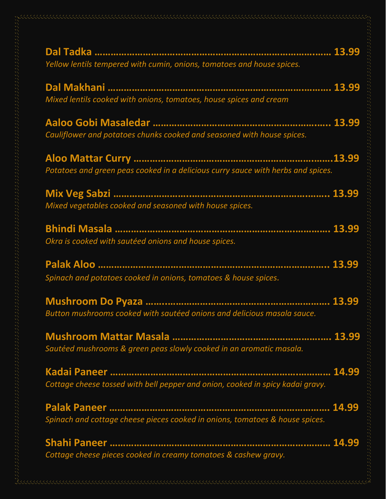| Yellow lentils tempered with cumin, onions, tomatoes and house spices.           |
|----------------------------------------------------------------------------------|
| Mixed lentils cooked with onions, tomatoes, house spices and cream               |
| Cauliflower and potatoes chunks cooked and seasoned with house spices.           |
| Potatoes and green peas cooked in a delicious curry sauce with herbs and spices. |
| Mixed vegetables cooked and seasoned with house spices.                          |
| Okra is cooked with sautéed onions and house spices.                             |
| Spinach and potatoes cooked in onions, tomatoes & house spices.                  |
| Button mushrooms cooked with sautéed onions and delicious masala sauce.          |
| Sautéed mushrooms & green peas slowly cooked in an aromatic masala.              |
| Cottage cheese tossed with bell pepper and onion, cooked in spicy kadai gravy.   |
| Spinach and cottage cheese pieces cooked in onions, tomatoes & house spices.     |
| Cottage cheese pieces cooked in creamy tomatoes & cashew gravy.                  |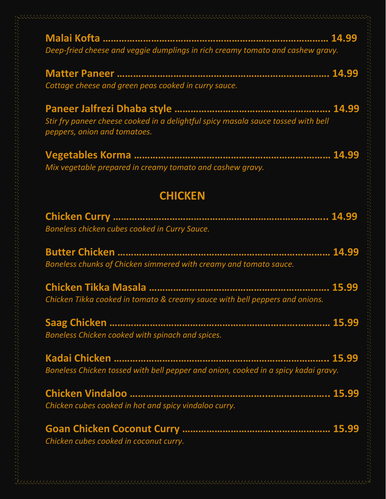| Deep-fried cheese and veggie dumplings in rich creamy tomato and cashew gravy.                                    |  |
|-------------------------------------------------------------------------------------------------------------------|--|
| Cottage cheese and green peas cooked in curry sauce.                                                              |  |
| Stir fry paneer cheese cooked in a delightful spicy masala sauce tossed with bell<br>peppers, onion and tomatoes. |  |
| Mix vegetable prepared in creamy tomato and cashew gravy.                                                         |  |
| <b>CHICKEN</b>                                                                                                    |  |
| Boneless chicken cubes cooked in Curry Sauce.                                                                     |  |
| Boneless chunks of Chicken simmered with creamy and tomato sauce.                                                 |  |
| Chicken Tikka cooked in tomato & creamy sauce with bell peppers and onions.                                       |  |
| Boneless Chicken cooked with spinach and spices.                                                                  |  |
| Boneless Chicken tossed with bell pepper and onion, cooked in a spicy kadai gravy.                                |  |
| Chicken cubes cooked in hot and spicy vindaloo curry.                                                             |  |
| Chicken cubes cooked in coconut curry.                                                                            |  |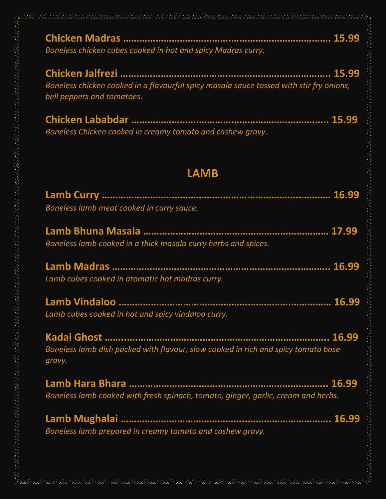| Boneless chicken cubes cooked in hot and spicy Madras curry.                                                          |
|-----------------------------------------------------------------------------------------------------------------------|
| Boneless chicken cooked in a flavourful spicy masala sauce tossed with stir fry onions,<br>bell peppers and tomatoes. |
| Boneless Chicken cooked in creamy tomato and cashew gravy.                                                            |
| <b>LAMB</b>                                                                                                           |
| Boneless lamb meat cooked in curry sauce.                                                                             |
| Boneless lamb cooked in a thick masala curry herbs and spices.                                                        |
| Lamb cubes cooked in aromatic hot madras curry.                                                                       |
| Lamb cubes cooked in hot and spicy vindaloo curry.                                                                    |
| Boneless lamb dish packed with flavour, slow cooked in rich and spicy tomato base<br>gravy.                           |
| Boneless lamb cooked with fresh spinach, tomato, ginger, garlic, cream and herbs.                                     |
| Boneless lamb prepared in creamy tomato and cashew gravy.                                                             |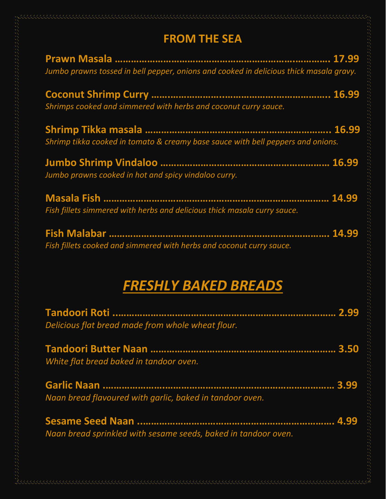### **FROM THE SEA**

| Jumbo prawns tossed in bell pepper, onions and cooked in delicious thick masala gravy. |
|----------------------------------------------------------------------------------------|
| Shrimps cooked and simmered with herbs and coconut curry sauce.                        |
| Shrimp tikka cooked in tomato & creamy base sauce with bell peppers and onions.        |
| Jumbo prawns cooked in hot and spicy vindaloo curry.                                   |
| Fish fillets simmered with herbs and delicious thick masala curry sauce.               |
| Fish fillets cooked and simmered with herbs and coconut curry sauce.                   |
| <b>FRESHLY BAKED BREADS</b>                                                            |
| Delicious flat bread made from whole wheat flour.                                      |
| White flat bread baked in tandoor oven.                                                |
| Naan bread flavoured with garlic, baked in tandoor oven.                               |
| Naan bread sprinkled with sesame seeds, baked in tandoor oven.                         |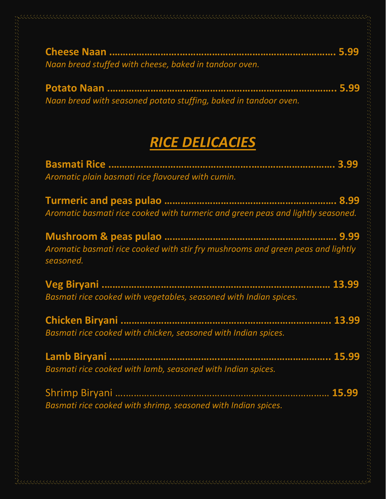| Naan bread stuffed with cheese, baked in tandoor oven. |  |
|--------------------------------------------------------|--|

**Potato Naan .……………………….……………………………………………….. 5.99** *Naan bread with seasoned potato stuffing, baked in tandoor oven.*

# *RICE DELICACIES*

| Aromatic plain basmati rice flavoured with cumin.                                            |
|----------------------------------------------------------------------------------------------|
| Aromatic basmati rice cooked with turmeric and green peas and lightly seasoned.              |
| Aromatic basmati rice cooked with stir fry mushrooms and green peas and lightly<br>seasoned. |
| Basmati rice cooked with vegetables, seasoned with Indian spices.                            |
| Basmati rice cooked with chicken, seasoned with Indian spices.                               |
| Basmati rice cooked with lamb, seasoned with Indian spices.                                  |
| Basmati rice cooked with shrimp, seasoned with Indian spices.                                |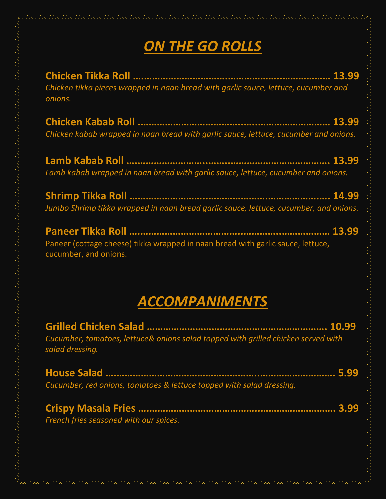# *ON THE GO ROLLS*

**Chicken Tikka Roll ….………………………….………………..……………… 13.99**  *Chicken tikka pieces wrapped in naan bread with garlic sauce, lettuce, cucumber and onions.*

**Chicken Kabab Roll .………………………………..…..……………………… 13.99** *Chicken kabab wrapped in naan bread with garlic sauce, lettuce, cucumber and onions.*

**Lamb Kabab Roll ….……………………..……..………………………………. 13.99** *Lamb kabab wrapped in naan bread with garlic sauce, lettuce, cucumber and onions.*

**Shrimp Tikka Roll ………………………..………………….……………….…. 14.99** *Jumbo Shrimp tikka wrapped in naan bread garlic sauce, lettuce, cucumber, and onions.*

**Paneer Tikka Roll ….………………………………..…………..……………… 13.99**  Paneer (cottage cheese) tikka wrapped in naan bread with garlic sauce, lettuce, cucumber, and onions.

### *ACCOMPANIMENTS*

| Cucumber, tomatoes, lettuce& onions salad topped with grilled chicken served with<br>salad dressing. |  |
|------------------------------------------------------------------------------------------------------|--|
| Cucumber, red onions, tomatoes & lettuce topped with salad dressing.                                 |  |
| French fries seasoned with our spices.                                                               |  |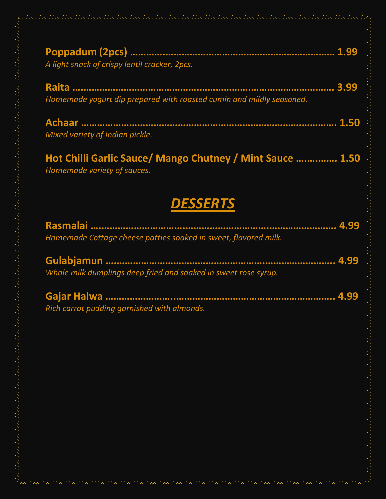| A light snack of crispy lentil cracker, 2pcs. |  |
|-----------------------------------------------|--|

**Raita ….…………………………………….……………….…………………………. 3.99** *Homemade yogurt dip prepared with roasted cumin and mildly seasoned.*

| Mixed variety of Indian pickle. |  |
|---------------------------------|--|

**Hot Chilli Garlic Sauce/ Mango Chutney / Mint Sauce ….….……. 1.50** *Homemade variety of sauces.*

### *DESSERTS*

| Homemade Cottage cheese patties soaked in sweet, flavored milk. |  |
|-----------------------------------------------------------------|--|
|                                                                 |  |
| Whole milk dumplings deep fried and soaked in sweet rose syrup. |  |
|                                                                 |  |

*Rich carrot pudding garnished with almonds.*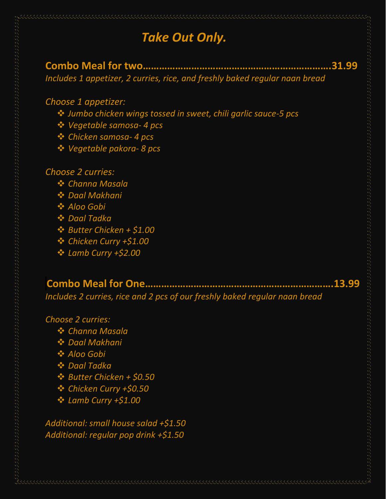### *Take Out Only.*

**Combo Meal for two…………………………………………………………….31.99** *Includes 1 appetizer, 2 curries, rice, and freshly baked regular naan bread*

#### *Choose 1 appetizer:*

- ❖ *Jumbo chicken wings tossed in sweet, chili garlic sauce-5 pcs*
- ❖ *Vegetable samosa- 4 pcs*
- ❖ *Chicken samosa- 4 pcs*
- ❖ *Vegetable pakora- 8 pcs*

#### *Choose 2 curries:*

- ❖ *Channa Masala*
- ❖ *Daal Makhani*
- ❖ *Aloo Gobi*
- ❖ *Daal Tadka*
- ❖ *Butter Chicken + \$1.00*
- ❖ *Chicken Curry +\$1.00*
- ❖ *Lamb Curry +\$2.00*

#### **Combo Meal for One…………………………………………………………….13.99** *Includes 2 curries, rice and 2 pcs of our freshly baked regular naan bread*

#### *Choose 2 curries:*

- ❖ *Channa Masala*
- ❖ *Daal Makhani*
- ❖ *Aloo Gobi*
- ❖ *Daal Tadka*
- ❖ *Butter Chicken + \$0.50*
- ❖ *Chicken Curry +\$0.50*
- ❖ *Lamb Curry +\$1.00*

*Additional: small house salad +\$1.50 Additional: regular pop drink +\$1.50*